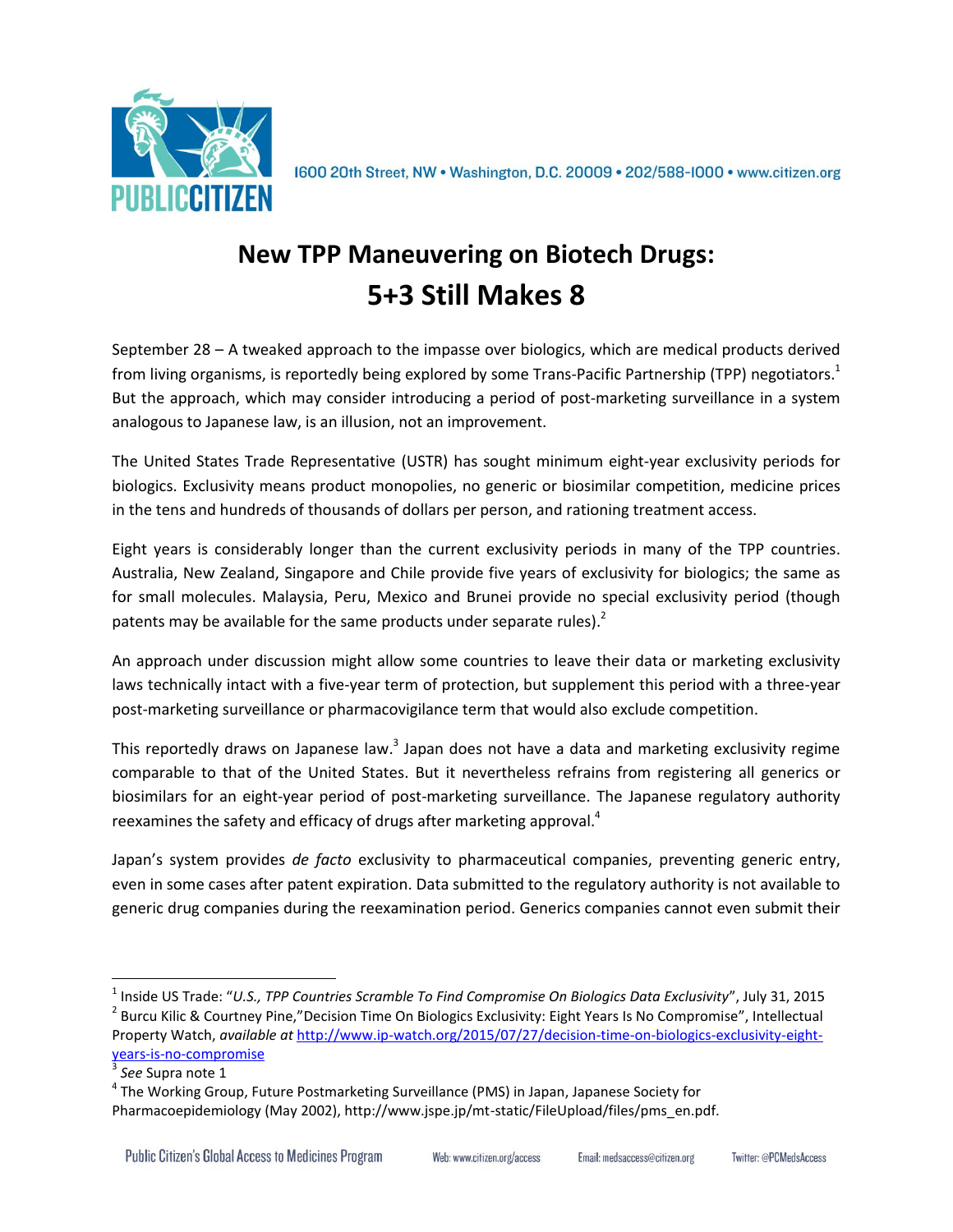

1600 20th Street, NW . Washington, D.C. 20009 . 202/588-1000 . www.citizen.org

## **New TPP Maneuvering on Biotech Drugs: 5+3 Still Makes 8**

September 28 – A tweaked approach to the impasse over biologics, which are medical products derived from living organisms, is reportedly being explored by some Trans-Pacific Partnership (TPP) negotiators.<sup>1</sup> But the approach, which may consider introducing a period of post-marketing surveillance in a system analogous to Japanese law, is an illusion, not an improvement.

The United States Trade Representative (USTR) has sought minimum eight-year exclusivity periods for biologics. Exclusivity means product monopolies, no generic or biosimilar competition, medicine prices in the tens and hundreds of thousands of dollars per person, and rationing treatment access.

Eight years is considerably longer than the current exclusivity periods in many of the TPP countries. Australia, New Zealand, Singapore and Chile provide five years of exclusivity for biologics; the same as for small molecules. Malaysia, Peru, Mexico and Brunei provide no special exclusivity period (though patents may be available for the same products under separate rules).<sup>2</sup>

An approach under discussion might allow some countries to leave their data or marketing exclusivity laws technically intact with a five-year term of protection, but supplement this period with a three-year post-marketing surveillance or pharmacovigilance term that would also exclude competition.

This reportedly draws on Japanese law.<sup>3</sup> Japan does not have a data and marketing exclusivity regime comparable to that of the United States. But it nevertheless refrains from registering all generics or biosimilars for an eight-year period of post-marketing surveillance. The Japanese regulatory authority reexamines the safety and efficacy of drugs after marketing approval.<sup>4</sup>

Japan's system provides *de facto* exclusivity to pharmaceutical companies, preventing generic entry, even in some cases after patent expiration. Data submitted to the regulatory authority is not available to generic drug companies during the reexamination period. Generics companies cannot even submit their

 $\overline{\phantom{a}}$ 

Email: medsaccess@citizen.org

<sup>1</sup> Inside US Trade: "*U.S., TPP Countries Scramble To Find Compromise On Biologics Data Exclusivity*", July 31, 2015 <sup>2</sup> Burcu Kilic & Courtney Pine,"Decision Time On Biologics Exclusivity: Eight Years Is No Compromise", Intellectual Property Watch, *available at* [http://www.ip-watch.org/2015/07/27/decision-time-on-biologics-exclusivity-eight](http://www.ip-watch.org/2015/07/27/decision-time-on-biologics-exclusivity-eight-years-is-no-compromise)[years-is-no-compromise](http://www.ip-watch.org/2015/07/27/decision-time-on-biologics-exclusivity-eight-years-is-no-compromise)

<sup>3</sup> *See* Supra note 1

<sup>&</sup>lt;sup>4</sup> The Working Group, Future Postmarketing Surveillance (PMS) in Japan, Japanese Society for Pharmacoepidemiology (May 2002), http://www.jspe.jp/mt-static/FileUpload/files/pms\_en.pdf.